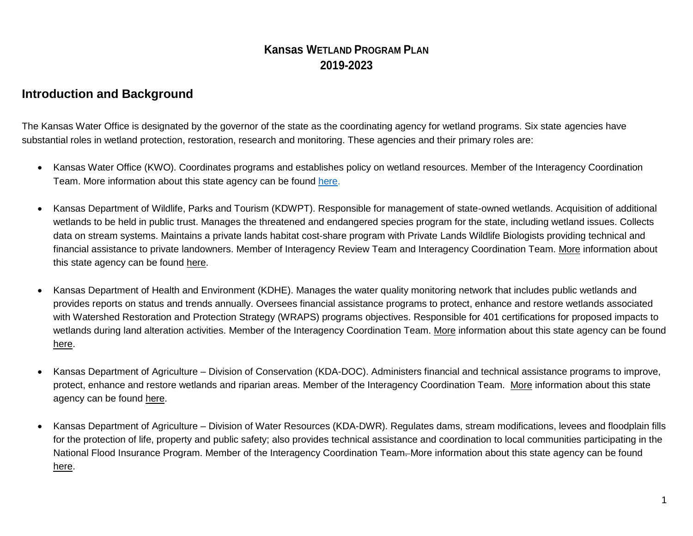## **Kansas WFTLAND PROGRAM PLAN 2019-2023**

## **Introduction and Background**

The Kansas Water Office is designated by the governor of the state as the coordinating agency for wetland programs. Six state agencies have substantial roles in wetland protection, restoration, research and monitoring. These agencies and their primary roles are:

- Kansas Water Office (KWO). Coordinates programs and establishes policy on wetland resources. Member of the Interagency Coordination Team. More information about this state agency can be found [here.](https://kwo.ks.gov/)
- Kansas Department of Wildlife, Parks and Tourism (KDWPT). Responsible for management of state-owned wetlands. Acquisition of additional wetlands to be held in public trust. Manages the threatened and endangered species program for the state, including wetland issues. Collects data on stream systems. Maintains a private lands habitat cost-share program with Private Lands Wildlife Biologists providing technical and financial assistance to private landowners. Member of Interagency Review Team and Interagency Coordination Team. [More](http://ksoutdoors.commore/) information about this state agency can be found [here.](https://ksoutdoors.com/)
- Kansas Department of Health and Environment (KDHE). Manages the water quality monitoring network that includes public wetlands and provides reports on status and trends annually. Oversees financial assistance programs to protect, enhance and restore wetlands associated with Watershed Restoration and Protection Strategy (WRAPS) programs objectives. Responsible for 401 certifications for proposed impacts to wetlands during land alteration activities. Member of the Interagency Coordination Team. [More](http://www.kdheks.govmore/) information about this state agency can be found [here.](http://www.kdheks.gov/)
- Kansas Department of Agriculture Division of Conservation (KDA-DOC). Administers financial and technical assistance programs to improve, protect, enhance and restore wetlands and riparian areas. Member of the Interagency Coordination Team. [More](https://agriculture.ks.gov/divisions-programs/division-of-conservationMore) information about this state agency can be found [here.](https://agriculture.ks.gov/divisions-programs/division-of-conservation)
- Kansas Department of Agriculture Division of Water Resources (KDA-DWR). Regulates dams, stream modifications, levees and floodplain fills for the protection of life, property and public safety; also provides technical assistance and coordination to local communities participating in the National Flood Insurance Program. Member of the Interagency Coordination Team. More information about this state agency can be found [here.](https://agriculture.ks.gov/divisions-programs/dwr)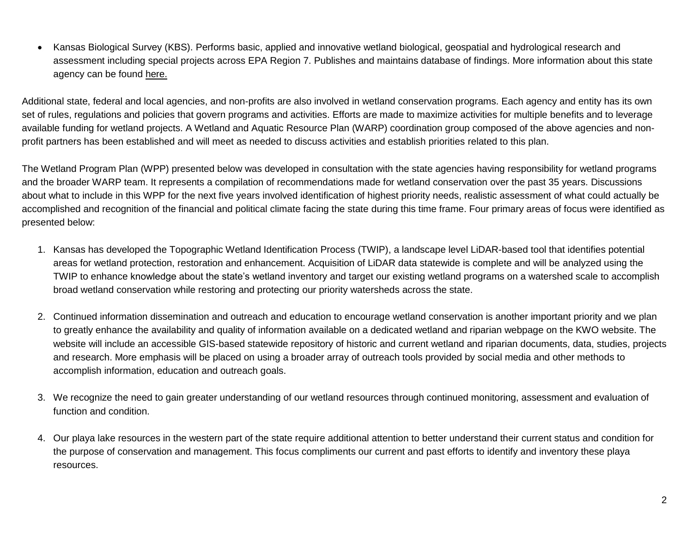Kansas Biological Survey (KBS). Performs basic, applied and innovative wetland biological, geospatial and hydrological research and assessment including special projects across EPA Region 7. Publishes and maintains database of findings. More information about this state agency can be found [here.](https://biosurvey.ku.edu/)

Additional state, federal and local agencies, and non-profits are also involved in wetland conservation programs. Each agency and entity has its own set of rules, regulations and policies that govern programs and activities. Efforts are made to maximize activities for multiple benefits and to leverage available funding for wetland projects. A Wetland and Aquatic Resource Plan (WARP) coordination group composed of the above agencies and nonprofit partners has been established and will meet as needed to discuss activities and establish priorities related to this plan.

The Wetland Program Plan (WPP) presented below was developed in consultation with the state agencies having responsibility for wetland programs and the broader WARP team. It represents a compilation of recommendations made for wetland conservation over the past 35 years. Discussions about what to include in this WPP for the next five years involved identification of highest priority needs, realistic assessment of what could actually be accomplished and recognition of the financial and political climate facing the state during this time frame. Four primary areas of focus were identified as presented below:

- 1. Kansas has developed the Topographic Wetland Identification Process (TWIP), a landscape level LiDAR-based tool that identifies potential areas for wetland protection, restoration and enhancement. Acquisition of LiDAR data statewide is complete and will be analyzed using the TWIP to enhance knowledge about the state's wetland inventory and target our existing wetland programs on a watershed scale to accomplish broad wetland conservation while restoring and protecting our priority watersheds across the state.
- 2. Continued information dissemination and outreach and education to encourage wetland conservation is another important priority and we plan to greatly enhance the availability and quality of information available on a dedicated wetland and riparian webpage on the KWO website. The website will include an accessible GIS-based statewide repository of historic and current wetland and riparian documents, data, studies, projects and research. More emphasis will be placed on using a broader array of outreach tools provided by social media and other methods to accomplish information, education and outreach goals.
- 3. We recognize the need to gain greater understanding of our wetland resources through continued monitoring, assessment and evaluation of function and condition.
- 4. Our playa lake resources in the western part of the state require additional attention to better understand their current status and condition for the purpose of conservation and management. This focus compliments our current and past efforts to identify and inventory these playa resources.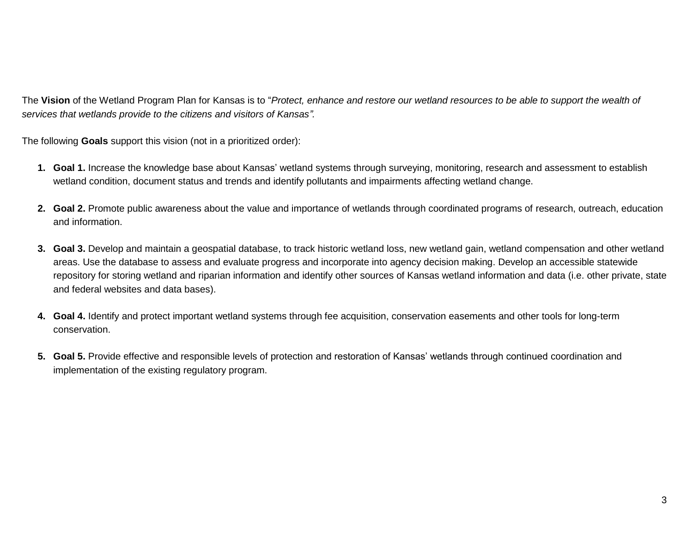The **Vision** of the Wetland Program Plan for Kansas is to "*Protect, enhance and restore our wetland resources to be able to support the wealth of services that wetlands provide to the citizens and visitors of Kansas".* 

The following **Goals** support this vision (not in a prioritized order):

- **1. Goal 1.** Increase the knowledge base about Kansas' wetland systems through surveying, monitoring, research and assessment to establish wetland condition, document status and trends and identify pollutants and impairments affecting wetland change.
- **2. Goal 2.** Promote public awareness about the value and importance of wetlands through coordinated programs of research, outreach, education and information.
- **3. Goal 3.** Develop and maintain a geospatial database, to track historic wetland loss, new wetland gain, wetland compensation and other wetland areas. Use the database to assess and evaluate progress and incorporate into agency decision making. Develop an accessible statewide repository for storing wetland and riparian information and identify other sources of Kansas wetland information and data (i.e. other private, state and federal websites and data bases).
- **4. Goal 4.** Identify and protect important wetland systems through fee acquisition, conservation easements and other tools for long-term conservation.
- **5. Goal 5.** Provide effective and responsible levels of protection and restoration of Kansas' wetlands through continued coordination and implementation of the existing regulatory program.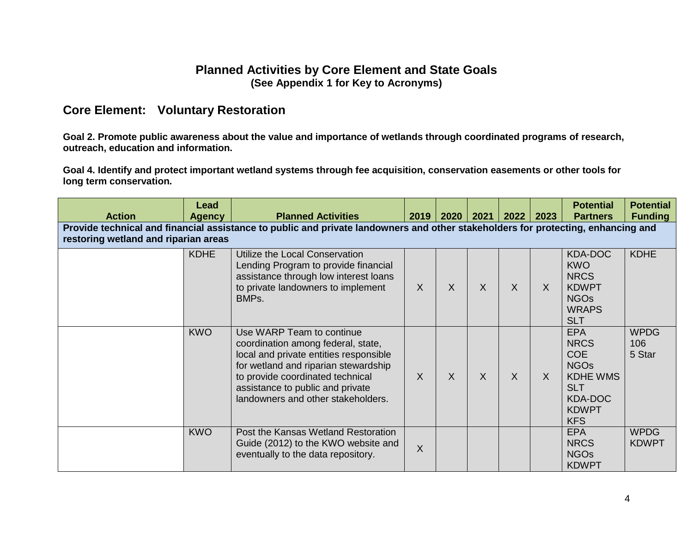#### **Planned Activities by Core Element and State Goals (See Appendix 1 for Key to Acronyms)**

### **Core Element: Voluntary Restoration**

**Goal 2. Promote public awareness about the value and importance of wetlands through coordinated programs of research, outreach, education and information.**

**Goal 4. Identify and protect important wetland systems through fee acquisition, conservation easements or other tools for long term conservation.**

| <b>Action</b>                                                                                                                                                            | Lead<br><b>Agency</b> | <b>Planned Activities</b>                                                                                                                                                                                                                                       | 2019    | 2020    | 2021         | 2022         | 2023         | <b>Potential</b><br><b>Partners</b>                                                                                              | <b>Potential</b><br><b>Funding</b> |
|--------------------------------------------------------------------------------------------------------------------------------------------------------------------------|-----------------------|-----------------------------------------------------------------------------------------------------------------------------------------------------------------------------------------------------------------------------------------------------------------|---------|---------|--------------|--------------|--------------|----------------------------------------------------------------------------------------------------------------------------------|------------------------------------|
| Provide technical and financial assistance to public and private landowners and other stakeholders for protecting, enhancing and<br>restoring wetland and riparian areas |                       |                                                                                                                                                                                                                                                                 |         |         |              |              |              |                                                                                                                                  |                                    |
|                                                                                                                                                                          | KDHE                  | Utilize the Local Conservation<br>Lending Program to provide financial<br>assistance through low interest loans<br>to private landowners to implement<br>BMPs.                                                                                                  | $\sf X$ | $\sf X$ | X            | $\mathsf{X}$ | X            | <b>KDA-DOC</b><br><b>KWO</b><br><b>NRCS</b><br><b>KDWPT</b><br><b>NGOs</b><br><b>WRAPS</b><br><b>SLT</b>                         | <b>KDHE</b>                        |
|                                                                                                                                                                          | <b>KWO</b>            | Use WARP Team to continue<br>coordination among federal, state,<br>local and private entities responsible<br>for wetland and riparian stewardship<br>to provide coordinated technical<br>assistance to public and private<br>landowners and other stakeholders. | $\sf X$ | $\sf X$ | $\mathsf{X}$ | $\mathsf{X}$ | $\mathsf{X}$ | <b>EPA</b><br><b>NRCS</b><br>COE<br><b>NGOs</b><br><b>KDHE WMS</b><br><b>SLT</b><br><b>KDA-DOC</b><br><b>KDWPT</b><br><b>KFS</b> | <b>WPDG</b><br>106<br>5 Star       |
|                                                                                                                                                                          | <b>KWO</b>            | Post the Kansas Wetland Restoration<br>Guide (2012) to the KWO website and<br>eventually to the data repository.                                                                                                                                                | $\sf X$ |         |              |              |              | <b>EPA</b><br><b>NRCS</b><br><b>NGOs</b><br><b>KDWPT</b>                                                                         | <b>WPDG</b><br><b>KDWPT</b>        |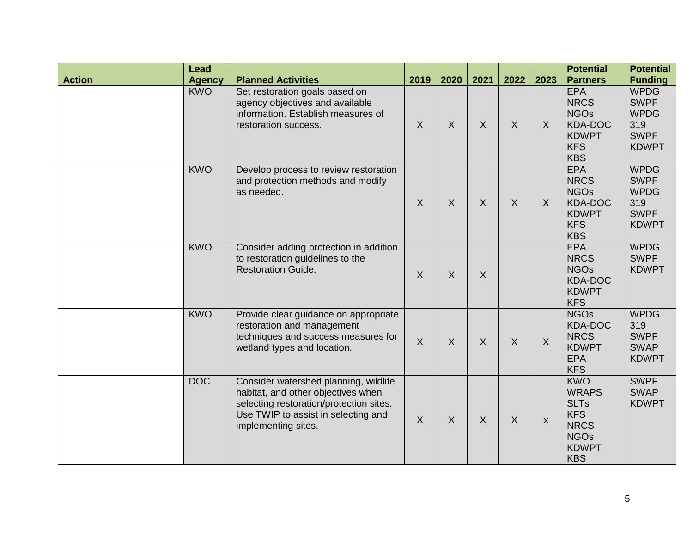|               | Lead          |                                                                                                                                                                                      |                         |              |              |              |              | <b>Potential</b>                                                                                                    | <b>Potential</b>                                                                |
|---------------|---------------|--------------------------------------------------------------------------------------------------------------------------------------------------------------------------------------|-------------------------|--------------|--------------|--------------|--------------|---------------------------------------------------------------------------------------------------------------------|---------------------------------------------------------------------------------|
| <b>Action</b> | <b>Agency</b> | <b>Planned Activities</b>                                                                                                                                                            | 2019                    | 2020         | 2021         | 2022         | 2023         | <b>Partners</b>                                                                                                     | <b>Funding</b>                                                                  |
|               | <b>KWO</b>    | Set restoration goals based on<br>agency objectives and available<br>information. Establish measures of<br>restoration success.                                                      | $\sf X$                 | $\sf X$      | $\mathsf{X}$ | $\mathsf{X}$ | $\sf X$      | <b>EPA</b><br><b>NRCS</b><br><b>NGOs</b><br><b>KDA-DOC</b><br><b>KDWPT</b><br><b>KFS</b><br><b>KBS</b>              | <b>WPDG</b><br><b>SWPF</b><br><b>WPDG</b><br>319<br><b>SWPF</b><br><b>KDWPT</b> |
|               | <b>KWO</b>    | Develop process to review restoration<br>and protection methods and modify<br>as needed.                                                                                             | $\sf X$                 | $\sf X$      | $\sf X$      | $\mathsf{X}$ | $\mathsf{X}$ | <b>EPA</b><br><b>NRCS</b><br><b>NGOs</b><br><b>KDA-DOC</b><br><b>KDWPT</b><br><b>KFS</b><br><b>KBS</b>              | <b>WPDG</b><br><b>SWPF</b><br><b>WPDG</b><br>319<br><b>SWPF</b><br><b>KDWPT</b> |
|               | <b>KWO</b>    | Consider adding protection in addition<br>to restoration guidelines to the<br><b>Restoration Guide.</b>                                                                              | $\sf X$                 | $\mathsf{X}$ | $\mathsf{X}$ |              |              | <b>EPA</b><br><b>NRCS</b><br><b>NGOs</b><br>KDA-DOC<br><b>KDWPT</b><br><b>KFS</b>                                   | <b>WPDG</b><br><b>SWPF</b><br><b>KDWPT</b>                                      |
|               | <b>KWO</b>    | Provide clear guidance on appropriate<br>restoration and management<br>techniques and success measures for<br>wetland types and location.                                            | $\overline{\mathsf{X}}$ | $\sf X$      | $\mathsf{X}$ | $\mathsf{X}$ | $\sf X$      | <b>NGOs</b><br><b>KDA-DOC</b><br><b>NRCS</b><br><b>KDWPT</b><br><b>EPA</b><br><b>KFS</b>                            | <b>WPDG</b><br>319<br><b>SWPF</b><br><b>SWAP</b><br><b>KDWPT</b>                |
|               | <b>DOC</b>    | Consider watershed planning, wildlife<br>habitat, and other objectives when<br>selecting restoration/protection sites.<br>Use TWIP to assist in selecting and<br>implementing sites. | $\sf X$                 | $\sf X$      | $\mathsf{X}$ | $\mathsf{X}$ | $\pmb{\chi}$ | <b>KWO</b><br><b>WRAPS</b><br><b>SLTs</b><br><b>KFS</b><br><b>NRCS</b><br><b>NGOs</b><br><b>KDWPT</b><br><b>KBS</b> | <b>SWPF</b><br><b>SWAP</b><br><b>KDWPT</b>                                      |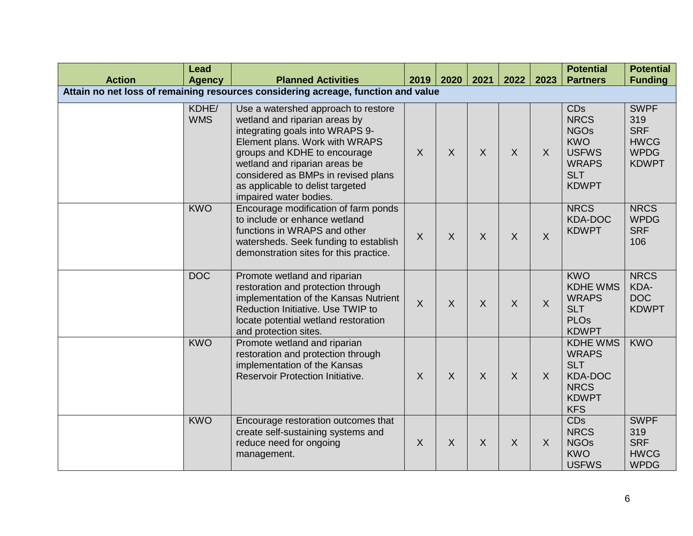| <b>Action</b> | Lead<br><b>Agency</b> | <b>Planned Activities</b>                                                                                                                                                                                                                                                                                       | 2019    | 2020                    | 2021    | 2022         | 2023         | <b>Potential</b><br><b>Partners</b>                                                                                  | <b>Potential</b><br><b>Funding</b>                                             |
|---------------|-----------------------|-----------------------------------------------------------------------------------------------------------------------------------------------------------------------------------------------------------------------------------------------------------------------------------------------------------------|---------|-------------------------|---------|--------------|--------------|----------------------------------------------------------------------------------------------------------------------|--------------------------------------------------------------------------------|
|               |                       | Attain no net loss of remaining resources considering acreage, function and value                                                                                                                                                                                                                               |         |                         |         |              |              |                                                                                                                      |                                                                                |
|               | KDHE/<br><b>WMS</b>   | Use a watershed approach to restore<br>wetland and riparian areas by<br>integrating goals into WRAPS 9-<br>Element plans. Work with WRAPS<br>groups and KDHE to encourage<br>wetland and riparian areas be<br>considered as BMPs in revised plans<br>as applicable to delist targeted<br>impaired water bodies. | $\sf X$ | $\sf X$                 | $\sf X$ | $\mathsf{X}$ | $\mathsf{X}$ | <b>CDs</b><br><b>NRCS</b><br><b>NGOs</b><br><b>KWO</b><br><b>USFWS</b><br><b>WRAPS</b><br><b>SLT</b><br><b>KDWPT</b> | <b>SWPF</b><br>319<br><b>SRF</b><br><b>HWCG</b><br><b>WPDG</b><br><b>KDWPT</b> |
|               | <b>KWO</b>            | Encourage modification of farm ponds<br>to include or enhance wetland<br>functions in WRAPS and other<br>watersheds. Seek funding to establish<br>demonstration sites for this practice.                                                                                                                        | $\sf X$ | $\overline{\mathsf{X}}$ | $\sf X$ | $\sf X$      | $\sf X$      | <b>NRCS</b><br><b>KDA-DOC</b><br><b>KDWPT</b>                                                                        | <b>NRCS</b><br><b>WPDG</b><br><b>SRF</b><br>106                                |
|               | <b>DOC</b>            | Promote wetland and riparian<br>restoration and protection through<br>implementation of the Kansas Nutrient<br>Reduction Initiative. Use TWIP to<br>locate potential wetland restoration<br>and protection sites.                                                                                               | X       | $\overline{\mathsf{X}}$ | $\sf X$ | $\sf X$      | $\mathsf{X}$ | <b>KWO</b><br><b>KDHE WMS</b><br><b>WRAPS</b><br><b>SLT</b><br><b>PLOs</b><br><b>KDWPT</b>                           | <b>NRCS</b><br>KDA-<br><b>DOC</b><br><b>KDWPT</b>                              |
|               | <b>KWO</b>            | Promote wetland and riparian<br>restoration and protection through<br>implementation of the Kansas<br>Reservoir Protection Initiative.                                                                                                                                                                          | $\sf X$ | $\sf X$                 | $\sf X$ | $\mathsf{X}$ | $\sf X$      | <b>KDHE WMS</b><br><b>WRAPS</b><br><b>SLT</b><br><b>KDA-DOC</b><br><b>NRCS</b><br><b>KDWPT</b><br><b>KFS</b>         | <b>KWO</b>                                                                     |
|               | <b>KWO</b>            | Encourage restoration outcomes that<br>create self-sustaining systems and<br>reduce need for ongoing<br>management.                                                                                                                                                                                             | X       | $\sf X$                 | $\sf X$ | X            | X            | <b>CDs</b><br><b>NRCS</b><br><b>NGOs</b><br><b>KWO</b><br><b>USFWS</b>                                               | <b>SWPF</b><br>319<br><b>SRF</b><br><b>HWCG</b><br><b>WPDG</b>                 |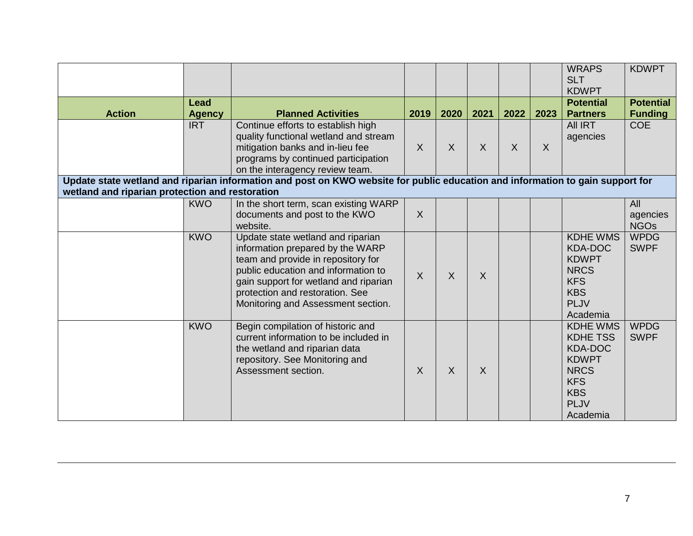|                                                 |               |                                                                                                                                |         |              |                         |         |         | <b>WRAPS</b><br><b>SLT</b><br><b>KDWPT</b> | <b>KDWPT</b>     |
|-------------------------------------------------|---------------|--------------------------------------------------------------------------------------------------------------------------------|---------|--------------|-------------------------|---------|---------|--------------------------------------------|------------------|
|                                                 | Lead          |                                                                                                                                |         |              |                         |         |         | <b>Potential</b>                           | <b>Potential</b> |
| <b>Action</b>                                   | <b>Agency</b> | <b>Planned Activities</b>                                                                                                      | 2019    | 2020         | 2021                    | 2022    | 2023    | <b>Partners</b>                            | <b>Funding</b>   |
|                                                 | <b>IRT</b>    | Continue efforts to establish high                                                                                             |         |              |                         |         |         | <b>AII IRT</b>                             | <b>COE</b>       |
|                                                 |               | quality functional wetland and stream                                                                                          |         |              |                         |         |         | agencies                                   |                  |
|                                                 |               | mitigation banks and in-lieu fee                                                                                               | $\sf X$ | $\mathsf{X}$ | $\sf X$                 | $\sf X$ | $\sf X$ |                                            |                  |
|                                                 |               | programs by continued participation                                                                                            |         |              |                         |         |         |                                            |                  |
|                                                 |               | on the interagency review team.                                                                                                |         |              |                         |         |         |                                            |                  |
|                                                 |               | Update state wetland and riparian information and post on KWO website for public education and information to gain support for |         |              |                         |         |         |                                            |                  |
| wetland and riparian protection and restoration |               |                                                                                                                                |         |              |                         |         |         |                                            |                  |
|                                                 | <b>KWO</b>    | In the short term, scan existing WARP                                                                                          |         |              |                         |         |         |                                            | All              |
|                                                 |               | documents and post to the KWO                                                                                                  | $\sf X$ |              |                         |         |         |                                            | agencies         |
|                                                 |               | website.                                                                                                                       |         |              |                         |         |         |                                            | <b>NGOs</b>      |
|                                                 | <b>KWO</b>    | Update state wetland and riparian                                                                                              |         |              |                         |         |         | <b>KDHE WMS</b>                            | <b>WPDG</b>      |
|                                                 |               | information prepared by the WARP                                                                                               |         |              |                         |         |         | <b>KDA-DOC</b>                             | <b>SWPF</b>      |
|                                                 |               | team and provide in repository for                                                                                             |         |              |                         |         |         | <b>KDWPT</b>                               |                  |
|                                                 |               | public education and information to                                                                                            | $\sf X$ | $\sf X$      | $\overline{\mathsf{X}}$ |         |         | <b>NRCS</b>                                |                  |
|                                                 |               | gain support for wetland and riparian                                                                                          |         |              |                         |         |         | <b>KFS</b>                                 |                  |
|                                                 |               | protection and restoration. See                                                                                                |         |              |                         |         |         | <b>KBS</b>                                 |                  |
|                                                 |               | Monitoring and Assessment section.                                                                                             |         |              |                         |         |         | <b>PLJV</b>                                |                  |
|                                                 |               |                                                                                                                                |         |              |                         |         |         | Academia                                   |                  |
|                                                 | <b>KWO</b>    | Begin compilation of historic and                                                                                              |         |              |                         |         |         | <b>KDHE WMS</b>                            | <b>WPDG</b>      |
|                                                 |               | current information to be included in                                                                                          |         |              |                         |         |         | KDHE TSS                                   | <b>SWPF</b>      |
|                                                 |               | the wetland and riparian data                                                                                                  |         |              |                         |         |         | <b>KDA-DOC</b>                             |                  |
|                                                 |               | repository. See Monitoring and                                                                                                 |         |              |                         |         |         | <b>KDWPT</b>                               |                  |
|                                                 |               | Assessment section.                                                                                                            | $\sf X$ | $\sf X$      | $\sf X$                 |         |         | <b>NRCS</b>                                |                  |
|                                                 |               |                                                                                                                                |         |              |                         |         |         | <b>KFS</b>                                 |                  |
|                                                 |               |                                                                                                                                |         |              |                         |         |         | <b>KBS</b>                                 |                  |
|                                                 |               |                                                                                                                                |         |              |                         |         |         | PLJV                                       |                  |
|                                                 |               |                                                                                                                                |         |              |                         |         |         | Academia                                   |                  |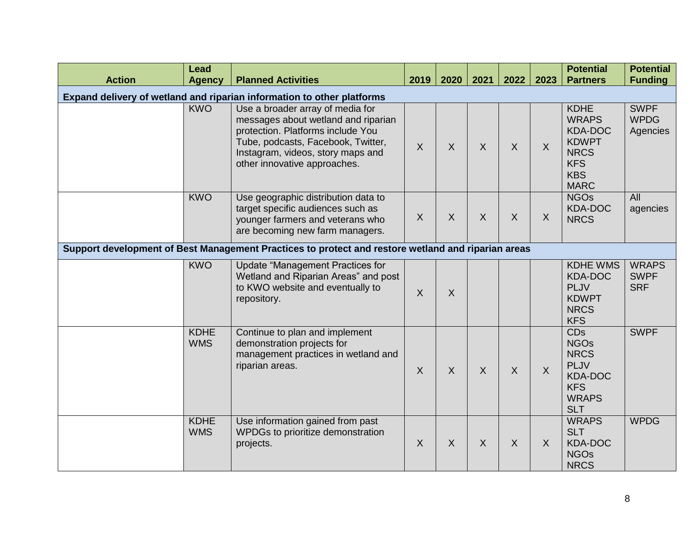| <b>Action</b> | <b>Lead</b><br><b>Agency</b> | <b>Planned Activities</b>                                                                                                                                                                                               | 2019    | 2020           | 2021    | 2022    | 2023    | <b>Potential</b><br><b>Partners</b>                                                                                     | <b>Potential</b><br><b>Funding</b>        |
|---------------|------------------------------|-------------------------------------------------------------------------------------------------------------------------------------------------------------------------------------------------------------------------|---------|----------------|---------|---------|---------|-------------------------------------------------------------------------------------------------------------------------|-------------------------------------------|
|               |                              | Expand delivery of wetland and riparian information to other platforms                                                                                                                                                  |         |                |         |         |         |                                                                                                                         |                                           |
|               | <b>KWO</b>                   | Use a broader array of media for<br>messages about wetland and riparian<br>protection. Platforms include You<br>Tube, podcasts, Facebook, Twitter,<br>Instagram, videos, story maps and<br>other innovative approaches. | $\sf X$ | $\sf X$        | $\sf X$ | $\sf X$ | X       | <b>KDHE</b><br><b>WRAPS</b><br><b>KDA-DOC</b><br><b>KDWPT</b><br><b>NRCS</b><br><b>KFS</b><br><b>KBS</b><br><b>MARC</b> | <b>SWPF</b><br><b>WPDG</b><br>Agencies    |
|               | <b>KWO</b>                   | Use geographic distribution data to<br>target specific audiences such as<br>younger farmers and veterans who<br>are becoming new farm managers.                                                                         | $\sf X$ | $\sf X$        | $\sf X$ | $\sf X$ | $\sf X$ | <b>NGOs</b><br><b>KDA-DOC</b><br><b>NRCS</b>                                                                            | All<br>agencies                           |
|               |                              | Support development of Best Management Practices to protect and restore wetland and riparian areas                                                                                                                      |         |                |         |         |         |                                                                                                                         |                                           |
|               | <b>KWO</b>                   | Update "Management Practices for<br>Wetland and Riparian Areas" and post<br>to KWO website and eventually to<br>repository.                                                                                             | $\sf X$ | $\sf X$        |         |         |         | <b>KDHE WMS</b><br><b>KDA-DOC</b><br><b>PLJV</b><br><b>KDWPT</b><br><b>NRCS</b><br><b>KFS</b>                           | <b>WRAPS</b><br><b>SWPF</b><br><b>SRF</b> |
|               | <b>KDHE</b><br><b>WMS</b>    | Continue to plan and implement<br>demonstration projects for<br>management practices in wetland and<br>riparian areas.                                                                                                  | X       | $\overline{X}$ | $\sf X$ | $\sf X$ | X       | <b>CDs</b><br><b>NGOs</b><br><b>NRCS</b><br><b>PLJV</b><br><b>KDA-DOC</b><br><b>KFS</b><br><b>WRAPS</b><br><b>SLT</b>   | <b>SWPF</b>                               |
|               | <b>KDHE</b><br><b>WMS</b>    | Use information gained from past<br>WPDGs to prioritize demonstration<br>projects.                                                                                                                                      | X       | $\sf X$        | $\sf X$ | X       | $\sf X$ | <b>WRAPS</b><br><b>SLT</b><br><b>KDA-DOC</b><br><b>NGOs</b><br><b>NRCS</b>                                              | <b>WPDG</b>                               |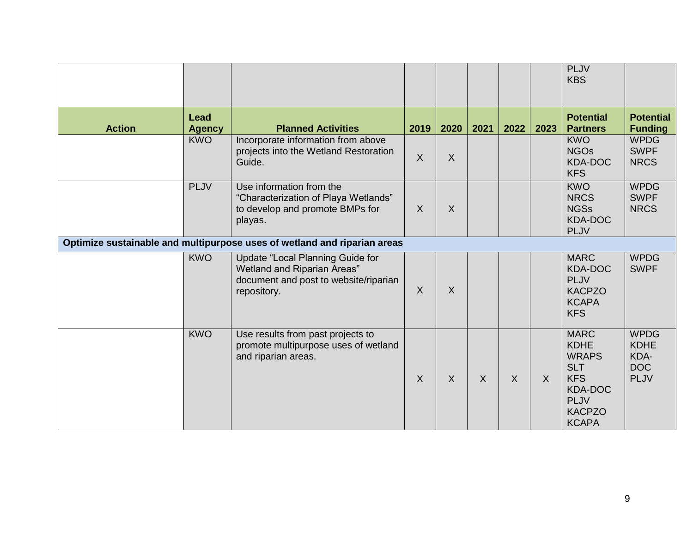|               |                       |                                                                                                                         |         |                |                |              |              | <b>PLJV</b><br><b>KBS</b>                                                                                                                |                                                                 |
|---------------|-----------------------|-------------------------------------------------------------------------------------------------------------------------|---------|----------------|----------------|--------------|--------------|------------------------------------------------------------------------------------------------------------------------------------------|-----------------------------------------------------------------|
| <b>Action</b> | Lead<br><b>Agency</b> | <b>Planned Activities</b>                                                                                               | 2019    | 2020           | 2021           | 2022         | 2023         | <b>Potential</b><br><b>Partners</b>                                                                                                      | <b>Potential</b><br><b>Funding</b>                              |
|               | <b>KWO</b>            | Incorporate information from above<br>projects into the Wetland Restoration<br>Guide.                                   | $\sf X$ | $\sf X$        |                |              |              | <b>KWO</b><br><b>NGOs</b><br>KDA-DOC<br><b>KFS</b>                                                                                       | <b>WPDG</b><br><b>SWPF</b><br><b>NRCS</b>                       |
|               | <b>PLJV</b>           | Use information from the<br>"Characterization of Playa Wetlands"<br>to develop and promote BMPs for<br>playas.          | $\sf X$ | $\sf X$        |                |              |              | <b>KWO</b><br><b>NRCS</b><br><b>NGSs</b><br><b>KDA-DOC</b><br><b>PLJV</b>                                                                | <b>WPDG</b><br><b>SWPF</b><br><b>NRCS</b>                       |
|               |                       | Optimize sustainable and multipurpose uses of wetland and riparian areas                                                |         |                |                |              |              |                                                                                                                                          |                                                                 |
|               | <b>KWO</b>            | Update "Local Planning Guide for<br>Wetland and Riparian Areas"<br>document and post to website/riparian<br>repository. | $\sf X$ | $\sf X$        |                |              |              | <b>MARC</b><br><b>KDA-DOC</b><br><b>PLJV</b><br><b>KACPZO</b><br><b>KCAPA</b><br><b>KFS</b>                                              | <b>WPDG</b><br><b>SWPF</b>                                      |
|               | <b>KWO</b>            | Use results from past projects to<br>promote multipurpose uses of wetland<br>and riparian areas.                        | $\sf X$ | $\overline{X}$ | $\overline{X}$ | $\mathsf{X}$ | $\mathsf{X}$ | <b>MARC</b><br><b>KDHE</b><br><b>WRAPS</b><br><b>SLT</b><br><b>KFS</b><br><b>KDA-DOC</b><br><b>PLJV</b><br><b>KACPZO</b><br><b>KCAPA</b> | <b>WPDG</b><br><b>KDHE</b><br>KDA-<br><b>DOC</b><br><b>PLJV</b> |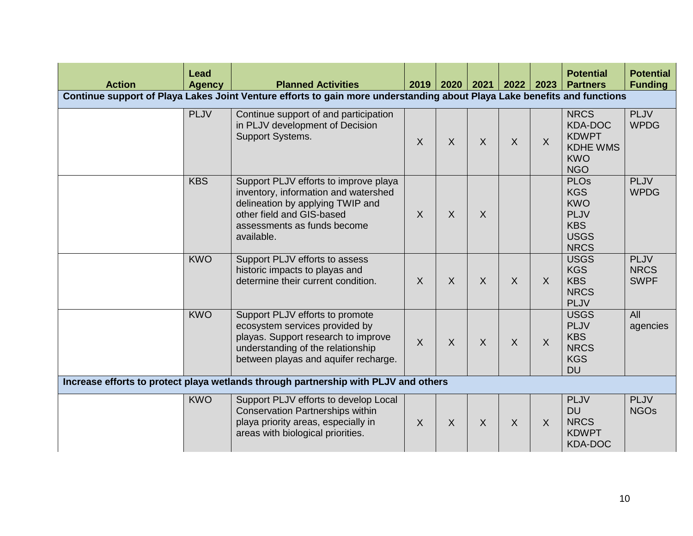| <b>Action</b> | Lead<br><b>Agency</b> | <b>Planned Activities</b>                                                                                                                                                                   | 2019    | 2020    | 2021    | 2022    | 2023         | <b>Potential</b><br><b>Partners</b>                                                                           | <b>Potential</b><br><b>Funding</b>        |
|---------------|-----------------------|---------------------------------------------------------------------------------------------------------------------------------------------------------------------------------------------|---------|---------|---------|---------|--------------|---------------------------------------------------------------------------------------------------------------|-------------------------------------------|
|               |                       | Continue support of Playa Lakes Joint Venture efforts to gain more understanding about Playa Lake benefits and functions                                                                    |         |         |         |         |              |                                                                                                               |                                           |
|               | <b>PLJV</b>           | Continue support of and participation<br>in PLJV development of Decision<br>Support Systems.                                                                                                | $\sf X$ | $\sf X$ | $\sf X$ | $\sf X$ | $\mathsf{X}$ | <b>NRCS</b><br><b>KDA-DOC</b><br><b>KDWPT</b><br><b>KDHE WMS</b><br><b>KWO</b><br><b>NGO</b>                  | <b>PLJV</b><br><b>WPDG</b>                |
|               | <b>KBS</b>            | Support PLJV efforts to improve playa<br>inventory, information and watershed<br>delineation by applying TWIP and<br>other field and GIS-based<br>assessments as funds become<br>available. | $\sf X$ | $\sf X$ | $\sf X$ |         |              | <b>PLO<sub>s</sub></b><br><b>KGS</b><br><b>KWO</b><br><b>PLJV</b><br><b>KBS</b><br><b>USGS</b><br><b>NRCS</b> | <b>PLJV</b><br><b>WPDG</b>                |
|               | <b>KWO</b>            | Support PLJV efforts to assess<br>historic impacts to playas and<br>determine their current condition.                                                                                      | $\sf X$ | $\sf X$ | $\sf X$ | $\sf X$ | $\sf X$      | <b>USGS</b><br><b>KGS</b><br><b>KBS</b><br><b>NRCS</b><br><b>PLJV</b>                                         | <b>PLJV</b><br><b>NRCS</b><br><b>SWPF</b> |
|               | <b>KWO</b>            | Support PLJV efforts to promote<br>ecosystem services provided by<br>playas. Support research to improve<br>understanding of the relationship<br>between playas and aquifer recharge.       | $\sf X$ | $\sf X$ | $\sf X$ | $\sf X$ | X            | <b>USGS</b><br><b>PLJV</b><br><b>KBS</b><br><b>NRCS</b><br><b>KGS</b><br><b>DU</b>                            | All<br>agencies                           |
|               |                       | Increase efforts to protect playa wetlands through partnership with PLJV and others                                                                                                         |         |         |         |         |              |                                                                                                               |                                           |
|               | <b>KWO</b>            | Support PLJV efforts to develop Local<br><b>Conservation Partnerships within</b><br>playa priority areas, especially in<br>areas with biological priorities.                                | $\sf X$ | $\sf X$ | $\sf X$ | $\sf X$ | $\sf X$      | <b>PLJV</b><br><b>DU</b><br><b>NRCS</b><br><b>KDWPT</b><br>KDA-DOC                                            | <b>PLJV</b><br><b>NGOs</b>                |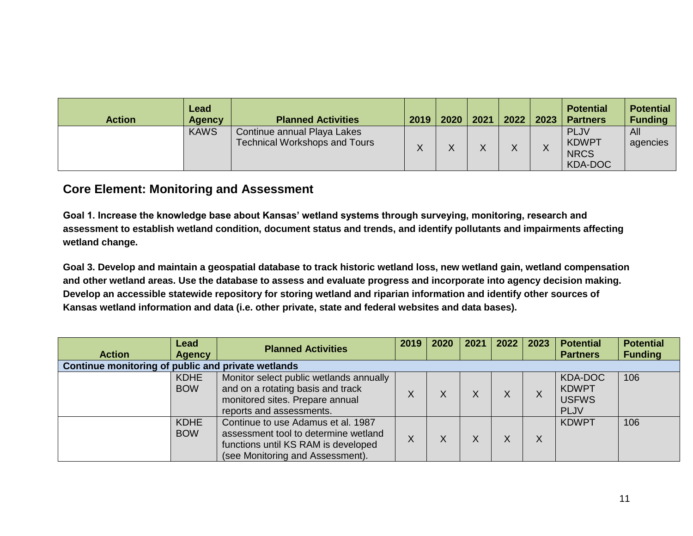| <b>Action</b> | Lead<br><b>Agency</b> | <b>Planned Activities</b>                                           | 2019 | 2020 | 2021 | 2022 | 2023         | <b>Potential</b><br><b>Partners</b>                   | <b>Potential</b><br>Funding |
|---------------|-----------------------|---------------------------------------------------------------------|------|------|------|------|--------------|-------------------------------------------------------|-----------------------------|
|               | <b>KAWS</b>           | Continue annual Playa Lakes<br><b>Technical Workshops and Tours</b> |      |      |      |      | $\checkmark$ | <b>PLJV</b><br><b>KDWPT</b><br><b>NRCS</b><br>KDA-DOC | All<br>agencies             |

### **Core Element: Monitoring and Assessment**

**Goal 1. Increase the knowledge base about Kansas' wetland systems through surveying, monitoring, research and assessment to establish wetland condition, document status and trends, and identify pollutants and impairments affecting wetland change.**

**Goal 3. Develop and maintain a geospatial database to track historic wetland loss, new wetland gain, wetland compensation and other wetland areas. Use the database to assess and evaluate progress and incorporate into agency decision making. Develop an accessible statewide repository for storing wetland and riparian information and identify other sources of Kansas wetland information and data (i.e. other private, state and federal websites and data bases).**

| <b>Action</b>                                      | Lead<br><b>Agency</b>     | <b>Planned Activities</b>                                                                                                                             | 2019 | 2020 | 2021 | 2022 | 2023              | <b>Potential</b><br><b>Partners</b>                    | <b>Potential</b><br><b>Funding</b> |
|----------------------------------------------------|---------------------------|-------------------------------------------------------------------------------------------------------------------------------------------------------|------|------|------|------|-------------------|--------------------------------------------------------|------------------------------------|
| Continue monitoring of public and private wetlands |                           |                                                                                                                                                       |      |      |      |      |                   |                                                        |                                    |
|                                                    | <b>KDHE</b><br><b>BOW</b> | Monitor select public wetlands annually<br>and on a rotating basis and track<br>monitored sites. Prepare annual<br>reports and assessments.           | X    | Χ    | Χ    | Χ    | $\checkmark$<br>∧ | KDA-DOC<br><b>KDWPT</b><br><b>USFWS</b><br><b>PLJV</b> | 106                                |
|                                                    | <b>KDHE</b><br><b>BOW</b> | Continue to use Adamus et al. 1987<br>assessment tool to determine wetland<br>functions until KS RAM is developed<br>(see Monitoring and Assessment). | X    | X    | Χ    | Χ    |                   | <b>KDWPT</b>                                           | 106                                |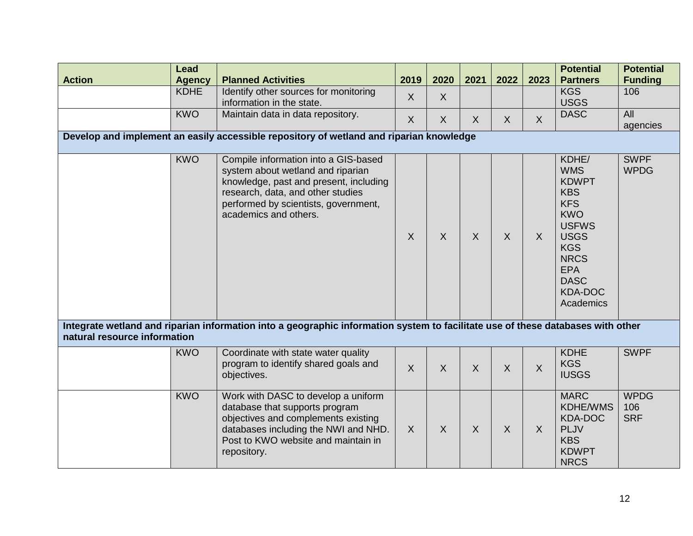|                              | <b>Lead</b>   |                                                                                                                                                                                                                           |              |                  |              |              |         | <b>Potential</b>                                                                                                                                                                                      | <b>Potential</b>                 |
|------------------------------|---------------|---------------------------------------------------------------------------------------------------------------------------------------------------------------------------------------------------------------------------|--------------|------------------|--------------|--------------|---------|-------------------------------------------------------------------------------------------------------------------------------------------------------------------------------------------------------|----------------------------------|
| <b>Action</b>                | <b>Agency</b> | <b>Planned Activities</b>                                                                                                                                                                                                 | 2019         | 2020             | 2021         | 2022         | 2023    | <b>Partners</b>                                                                                                                                                                                       | <b>Funding</b>                   |
|                              | <b>KDHE</b>   | Identify other sources for monitoring                                                                                                                                                                                     | $\mathsf{X}$ | $\mathsf{X}$     |              |              |         | <b>KGS</b>                                                                                                                                                                                            | 106                              |
|                              |               | information in the state.                                                                                                                                                                                                 |              |                  |              |              |         | <b>USGS</b>                                                                                                                                                                                           |                                  |
|                              | <b>KWO</b>    | Maintain data in data repository.                                                                                                                                                                                         | $\sf X$      | $\boldsymbol{X}$ | $\mathsf{X}$ | $\sf X$      | $\sf X$ | <b>DASC</b>                                                                                                                                                                                           | All                              |
|                              |               |                                                                                                                                                                                                                           |              |                  |              |              |         |                                                                                                                                                                                                       | agencies                         |
|                              |               | Develop and implement an easily accessible repository of wetland and riparian knowledge                                                                                                                                   |              |                  |              |              |         |                                                                                                                                                                                                       |                                  |
|                              | <b>KWO</b>    | Compile information into a GIS-based<br>system about wetland and riparian<br>knowledge, past and present, including<br>research, data, and other studies<br>performed by scientists, government,<br>academics and others. | $\sf X$      | $\sf X$          | $\sf X$      | $\mathsf{X}$ | $\sf X$ | KDHE/<br><b>WMS</b><br><b>KDWPT</b><br><b>KBS</b><br><b>KFS</b><br><b>KWO</b><br><b>USFWS</b><br><b>USGS</b><br><b>KGS</b><br><b>NRCS</b><br><b>EPA</b><br><b>DASC</b><br><b>KDA-DOC</b><br>Academics | <b>SWPF</b><br><b>WPDG</b>       |
| natural resource information |               | Integrate wetland and riparian information into a geographic information system to facilitate use of these databases with other                                                                                           |              |                  |              |              |         |                                                                                                                                                                                                       |                                  |
|                              | <b>KWO</b>    | Coordinate with state water quality<br>program to identify shared goals and<br>objectives.                                                                                                                                | $\sf X$      | $\sf X$          | $\sf X$      | $\sf X$      | $\sf X$ | <b>KDHE</b><br><b>KGS</b><br><b>IUSGS</b>                                                                                                                                                             | <b>SWPF</b>                      |
|                              | <b>KWO</b>    | Work with DASC to develop a uniform<br>database that supports program<br>objectives and complements existing<br>databases including the NWI and NHD.<br>Post to KWO website and maintain in<br>repository.                | $\mathsf{X}$ | $\sf X$          | $\sf X$      | $\sf X$      | $\sf X$ | <b>MARC</b><br><b>KDHE/WMS</b><br><b>KDA-DOC</b><br><b>PLJV</b><br><b>KBS</b><br><b>KDWPT</b><br><b>NRCS</b>                                                                                          | <b>WPDG</b><br>106<br><b>SRF</b> |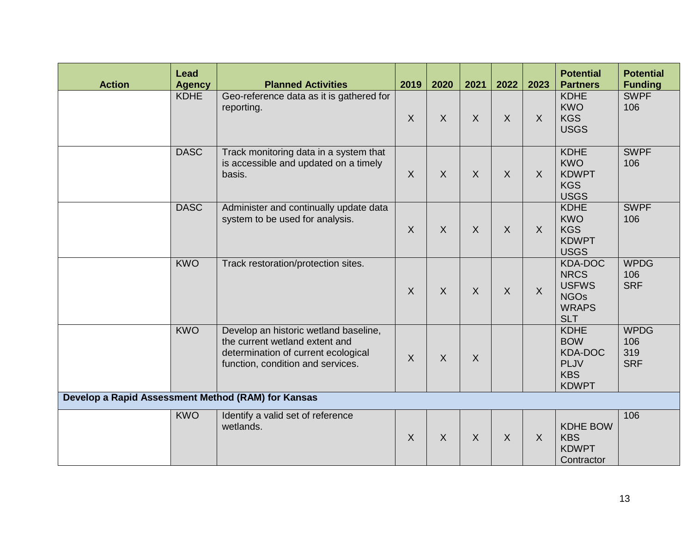| <b>Action</b>                                      | Lead<br><b>Agency</b> | <b>Planned Activities</b>                                                                                                                           | 2019                      | 2020           | 2021    | 2022           | 2023    | <b>Potential</b><br><b>Partners</b>                                                        | <b>Potential</b><br><b>Funding</b>      |
|----------------------------------------------------|-----------------------|-----------------------------------------------------------------------------------------------------------------------------------------------------|---------------------------|----------------|---------|----------------|---------|--------------------------------------------------------------------------------------------|-----------------------------------------|
|                                                    | <b>KDHE</b>           | Geo-reference data as it is gathered for<br>reporting.                                                                                              | $\sf X$                   | $\sf X$        | X       | $\sf X$        | $\sf X$ | <b>KDHE</b><br><b>KWO</b><br><b>KGS</b><br><b>USGS</b>                                     | <b>SWPF</b><br>106                      |
|                                                    | <b>DASC</b>           | Track monitoring data in a system that<br>is accessible and updated on a timely<br>basis.                                                           | $\sf X$                   | $\mathsf{X}$   | $\sf X$ | $\sf X$        | X       | <b>KDHE</b><br><b>KWO</b><br><b>KDWPT</b><br><b>KGS</b><br><b>USGS</b>                     | <b>SWPF</b><br>106                      |
|                                                    | <b>DASC</b>           | Administer and continually update data<br>system to be used for analysis.                                                                           | $\overline{X}$            | $\overline{X}$ | $\sf X$ | $\overline{X}$ | $\sf X$ | <b>KDHE</b><br><b>KWO</b><br><b>KGS</b><br><b>KDWPT</b><br><b>USGS</b>                     | <b>SWPF</b><br>106                      |
|                                                    | <b>KWO</b>            | Track restoration/protection sites.                                                                                                                 | $\overline{X}$            | $\overline{X}$ | $\sf X$ | $\sf X$        | X       | <b>KDA-DOC</b><br><b>NRCS</b><br><b>USFWS</b><br><b>NGOs</b><br><b>WRAPS</b><br><b>SLT</b> | <b>WPDG</b><br>106<br><b>SRF</b>        |
|                                                    | <b>KWO</b>            | Develop an historic wetland baseline,<br>the current wetland extent and<br>determination of current ecological<br>function, condition and services. | $\overline{X}$            | $\overline{X}$ | $\sf X$ |                |         | <b>KDHE</b><br><b>BOW</b><br><b>KDA-DOC</b><br><b>PLJV</b><br><b>KBS</b><br><b>KDWPT</b>   | <b>WPDG</b><br>106<br>319<br><b>SRF</b> |
| Develop a Rapid Assessment Method (RAM) for Kansas |                       |                                                                                                                                                     |                           |                |         |                |         |                                                                                            |                                         |
|                                                    | <b>KWO</b>            | Identify a valid set of reference<br>wetlands.                                                                                                      | $\boldsymbol{\mathsf{X}}$ | $\mathsf{X}$   | X       | $\mathsf{X}$   | X       | <b>KDHE BOW</b><br><b>KBS</b><br><b>KDWPT</b><br>Contractor                                | 106                                     |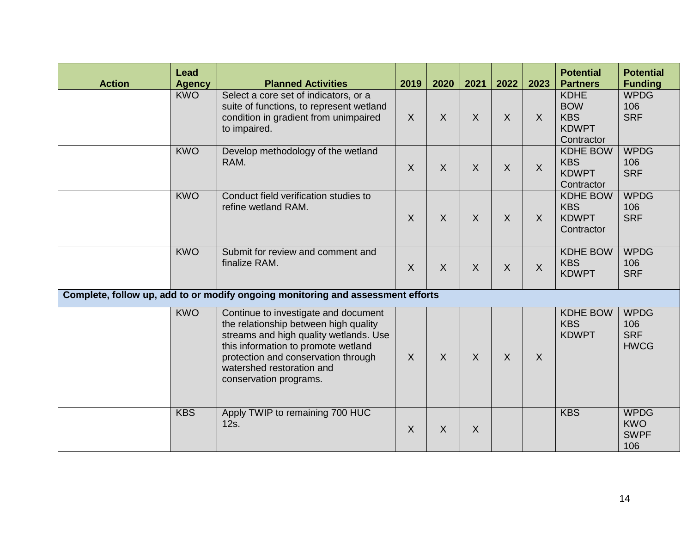| <b>Action</b> | Lead<br><b>Agency</b> | <b>Planned Activities</b>                                                                                                                                                                                                                                    | 2019     | 2020           | 2021         | 2022         | 2023    | <b>Potential</b><br><b>Partners</b>                                   | <b>Potential</b><br><b>Funding</b>              |
|---------------|-----------------------|--------------------------------------------------------------------------------------------------------------------------------------------------------------------------------------------------------------------------------------------------------------|----------|----------------|--------------|--------------|---------|-----------------------------------------------------------------------|-------------------------------------------------|
|               | <b>KWO</b>            | Select a core set of indicators, or a<br>suite of functions, to represent wetland<br>condition in gradient from unimpaired<br>to impaired.                                                                                                                   | $\sf X$  | $\sf X$        | $\sf X$      | $\mathsf{X}$ | $\sf X$ | <b>KDHE</b><br><b>BOW</b><br><b>KBS</b><br><b>KDWPT</b><br>Contractor | <b>WPDG</b><br>106<br><b>SRF</b>                |
|               | <b>KWO</b>            | Develop methodology of the wetland<br>RAM.                                                                                                                                                                                                                   | $\times$ | $\overline{X}$ | $\sf X$      | $\mathsf{X}$ | $\sf X$ | <b>KDHE BOW</b><br><b>KBS</b><br><b>KDWPT</b><br>Contractor           | <b>WPDG</b><br>106<br><b>SRF</b>                |
|               | <b>KWO</b>            | Conduct field verification studies to<br>refine wetland RAM.                                                                                                                                                                                                 | $\sf X$  | $\sf X$        | $\sf X$      | $\sf X$      | $\sf X$ | <b>KDHE BOW</b><br><b>KBS</b><br><b>KDWPT</b><br>Contractor           | <b>WPDG</b><br>106<br><b>SRF</b>                |
|               | <b>KWO</b>            | Submit for review and comment and<br>finalize RAM.                                                                                                                                                                                                           | X        | $\sf X$        | $\sf X$      | $\mathsf{X}$ | $\sf X$ | <b>KDHE BOW</b><br><b>KBS</b><br><b>KDWPT</b>                         | <b>WPDG</b><br>106<br><b>SRF</b>                |
|               |                       | Complete, follow up, add to or modify ongoing monitoring and assessment efforts                                                                                                                                                                              |          |                |              |              |         |                                                                       |                                                 |
|               | <b>KWO</b>            | Continue to investigate and document<br>the relationship between high quality<br>streams and high quality wetlands. Use<br>this information to promote wetland<br>protection and conservation through<br>watershed restoration and<br>conservation programs. | $\sf X$  | $\sf X$        | $\mathsf{X}$ | $\sf X$      | $\sf X$ | <b>KDHE BOW</b><br><b>KBS</b><br><b>KDWPT</b>                         | <b>WPDG</b><br>106<br><b>SRF</b><br><b>HWCG</b> |
|               | <b>KBS</b>            | Apply TWIP to remaining 700 HUC<br>12s.                                                                                                                                                                                                                      | $\sf X$  | $\overline{X}$ | $\sf X$      |              |         | <b>KBS</b>                                                            | <b>WPDG</b><br><b>KWO</b><br><b>SWPF</b><br>106 |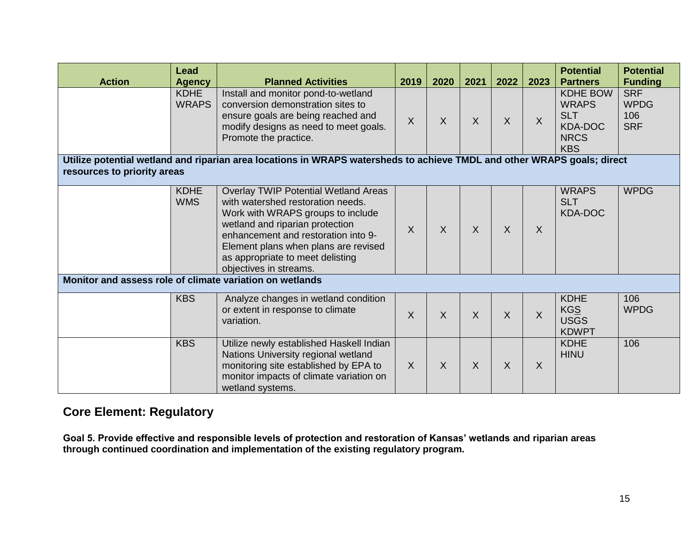| <b>Action</b>                                                                                                                                          | Lead<br><b>Agency</b>       | <b>Planned Activities</b>                                                                                                                                                                                                                                                                             | 2019           | 2020    | 2021    | 2022    | 2023    | <b>Potential</b><br><b>Partners</b>                                                          | <b>Potential</b><br><b>Funding</b>             |
|--------------------------------------------------------------------------------------------------------------------------------------------------------|-----------------------------|-------------------------------------------------------------------------------------------------------------------------------------------------------------------------------------------------------------------------------------------------------------------------------------------------------|----------------|---------|---------|---------|---------|----------------------------------------------------------------------------------------------|------------------------------------------------|
|                                                                                                                                                        | <b>KDHE</b><br><b>WRAPS</b> | Install and monitor pond-to-wetland<br>conversion demonstration sites to<br>ensure goals are being reached and<br>modify designs as need to meet goals.<br>Promote the practice.                                                                                                                      | $\overline{X}$ | $\sf X$ | $\sf X$ | $\sf X$ | $\sf X$ | <b>KDHE BOW</b><br><b>WRAPS</b><br><b>SLT</b><br><b>KDA-DOC</b><br><b>NRCS</b><br><b>KBS</b> | <b>SRF</b><br><b>WPDG</b><br>106<br><b>SRF</b> |
| Utilize potential wetland and riparian area locations in WRAPS watersheds to achieve TMDL and other WRAPS goals; direct<br>resources to priority areas |                             |                                                                                                                                                                                                                                                                                                       |                |         |         |         |         |                                                                                              |                                                |
| Monitor and assess role of climate variation on wetlands                                                                                               | <b>KDHE</b><br><b>WMS</b>   | <b>Overlay TWIP Potential Wetland Areas</b><br>with watershed restoration needs.<br>Work with WRAPS groups to include<br>wetland and riparian protection<br>enhancement and restoration into 9-<br>Element plans when plans are revised<br>as appropriate to meet delisting<br>objectives in streams. | $\sf X$        | $\sf X$ | $\sf X$ | X       | $\sf X$ | <b>WRAPS</b><br><b>SLT</b><br><b>KDA-DOC</b>                                                 | <b>WPDG</b>                                    |
|                                                                                                                                                        |                             |                                                                                                                                                                                                                                                                                                       |                |         |         |         |         |                                                                                              |                                                |
|                                                                                                                                                        | <b>KBS</b>                  | Analyze changes in wetland condition<br>or extent in response to climate<br>variation.                                                                                                                                                                                                                | $\overline{X}$ | $\sf X$ | X       | $\sf X$ | $\sf X$ | <b>KDHE</b><br>KGS<br><b>USGS</b><br><b>KDWPT</b>                                            | 106<br><b>WPDG</b>                             |
|                                                                                                                                                        | <b>KBS</b>                  | Utilize newly established Haskell Indian<br>Nations University regional wetland<br>monitoring site established by EPA to<br>monitor impacts of climate variation on<br>wetland systems.                                                                                                               | $\sf X$        | $\sf X$ | $\sf X$ | X       | $\sf X$ | <b>KDHE</b><br><b>HINU</b>                                                                   | 106                                            |

## **Core Element: Regulatory**

**Goal 5. Provide effective and responsible levels of protection and restoration of Kansas' wetlands and riparian areas through continued coordination and implementation of the existing regulatory program.**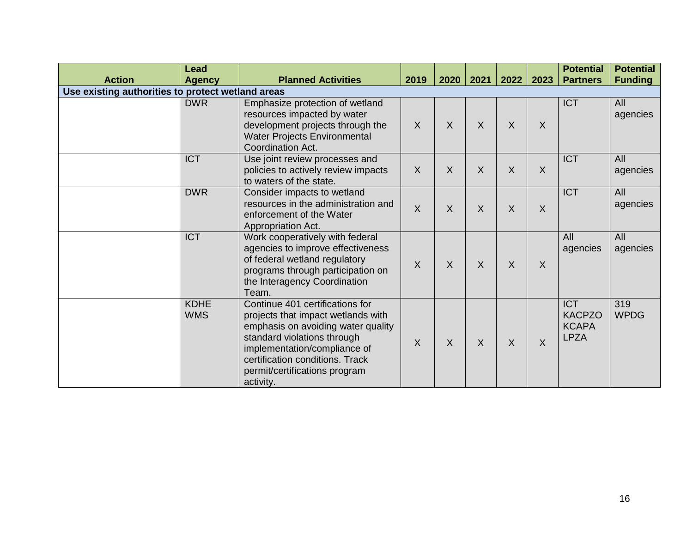| <b>Action</b>                                     | <b>Lead</b><br><b>Agency</b> | <b>Planned Activities</b>                                                                                                                                                                                                                                   | 2019                    | 2020                    | 2021           | 2022           | 2023    | <b>Potential</b><br><b>Partners</b>                        | <b>Potential</b><br><b>Funding</b> |
|---------------------------------------------------|------------------------------|-------------------------------------------------------------------------------------------------------------------------------------------------------------------------------------------------------------------------------------------------------------|-------------------------|-------------------------|----------------|----------------|---------|------------------------------------------------------------|------------------------------------|
| Use existing authorities to protect wetland areas |                              |                                                                                                                                                                                                                                                             |                         |                         |                |                |         |                                                            |                                    |
|                                                   | <b>DWR</b>                   | Emphasize protection of wetland<br>resources impacted by water<br>development projects through the<br><b>Water Projects Environmental</b><br>Coordination Act.                                                                                              | $\sf X$                 | $\overline{\mathsf{X}}$ | X              | X              | $\sf X$ | <b>ICT</b>                                                 | All<br>agencies                    |
|                                                   | <b>ICT</b>                   | Use joint review processes and<br>policies to actively review impacts<br>to waters of the state.                                                                                                                                                            | $\sf X$                 | $\overline{\mathsf{X}}$ | $\sf X$        | X              | $\sf X$ | <b>ICT</b>                                                 | All<br>agencies                    |
|                                                   | <b>DWR</b>                   | Consider impacts to wetland<br>resources in the administration and<br>enforcement of the Water<br>Appropriation Act.                                                                                                                                        | $\overline{\mathsf{X}}$ | $\overline{\mathsf{X}}$ | $\overline{X}$ | X              | $\sf X$ | <b>ICT</b>                                                 | All<br>agencies                    |
|                                                   | <b>ICT</b>                   | Work cooperatively with federal<br>agencies to improve effectiveness<br>of federal wetland regulatory<br>programs through participation on<br>the Interagency Coordination<br>Team.                                                                         | $\sf X$                 | $\overline{\mathsf{X}}$ | $\sf X$        | $\overline{X}$ | $\sf X$ | All<br>agencies                                            | All<br>agencies                    |
|                                                   | <b>KDHE</b><br><b>WMS</b>    | Continue 401 certifications for<br>projects that impact wetlands with<br>emphasis on avoiding water quality<br>standard violations through<br>implementation/compliance of<br>certification conditions. Track<br>permit/certifications program<br>activity. | $\sf X$                 | $\overline{\mathsf{X}}$ | $\sf X$        | $\overline{X}$ | $\sf X$ | <b>ICT</b><br><b>KACPZO</b><br><b>KCAPA</b><br><b>LPZA</b> | 319<br><b>WPDG</b>                 |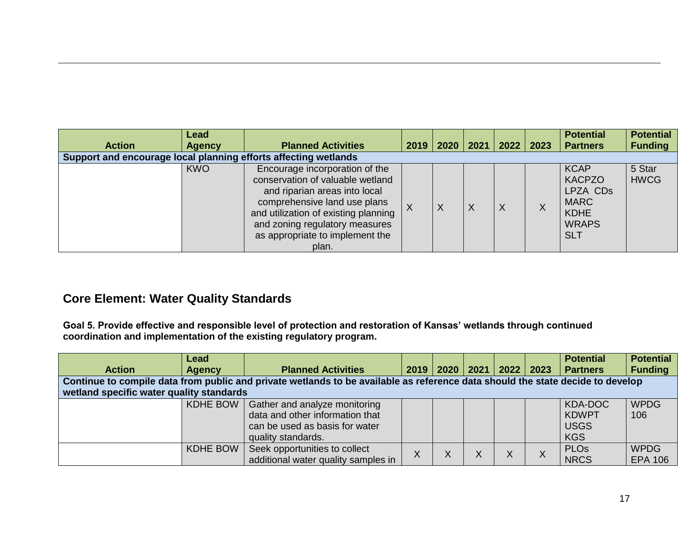| <b>Action</b>                                                   | Lead<br><b>Agency</b> | <b>Planned Activities</b>                                                                                                                                                                                                                                 | 2019     | 2020 | 2021 | 2022 | $\vert$ 2023 | <b>Potential</b><br><b>Partners</b>                                                                  | <b>Potential</b><br><b>Funding</b> |
|-----------------------------------------------------------------|-----------------------|-----------------------------------------------------------------------------------------------------------------------------------------------------------------------------------------------------------------------------------------------------------|----------|------|------|------|--------------|------------------------------------------------------------------------------------------------------|------------------------------------|
| Support and encourage local planning efforts affecting wetlands |                       |                                                                                                                                                                                                                                                           |          |      |      |      |              |                                                                                                      |                                    |
|                                                                 | <b>KWO</b>            | Encourage incorporation of the<br>conservation of valuable wetland<br>and riparian areas into local<br>comprehensive land use plans<br>and utilization of existing planning<br>and zoning regulatory measures<br>as appropriate to implement the<br>plan. | $\times$ | Χ    | Χ    | X    | X            | <b>KCAP</b><br><b>KACPZO</b><br>LPZA CDs<br><b>MARC</b><br><b>KDHE</b><br><b>WRAPS</b><br><b>SLT</b> | 5 Star<br><b>HWCG</b>              |

## **Core Element: Water Quality Standards**

**Goal 5. Provide effective and responsible level of protection and restoration of Kansas' wetlands through continued coordination and implementation of the existing regulatory program.**

|                                                                                                                                | <b>Lead</b>     |                                                                                                                          |      |      |      |      |                   | <b>Potential</b>                                     | <b>Potential</b>              |
|--------------------------------------------------------------------------------------------------------------------------------|-----------------|--------------------------------------------------------------------------------------------------------------------------|------|------|------|------|-------------------|------------------------------------------------------|-------------------------------|
| <b>Action</b>                                                                                                                  | <b>Agency</b>   | <b>Planned Activities</b>                                                                                                | 2019 | 2020 | 2021 | 2022 | $\vert$ 2023      | <b>Partners</b>                                      | <b>Funding</b>                |
| Continue to compile data from public and private wetlands to be available as reference data should the state decide to develop |                 |                                                                                                                          |      |      |      |      |                   |                                                      |                               |
| wetland specific water quality standards                                                                                       |                 |                                                                                                                          |      |      |      |      |                   |                                                      |                               |
|                                                                                                                                | <b>KDHE BOW</b> | Gather and analyze monitoring<br>data and other information that<br>can be used as basis for water<br>quality standards. |      |      |      |      |                   | KDA-DOC<br><b>KDWPT</b><br><b>USGS</b><br><b>KGS</b> | <b>WPDG</b><br>106            |
|                                                                                                                                | <b>KDHE BOW</b> | Seek opportunities to collect<br>additional water quality samples in                                                     | X    |      |      | X    | $\checkmark$<br>⋏ | <b>PLO<sub>s</sub></b><br><b>NRCS</b>                | <b>WPDG</b><br><b>EPA 106</b> |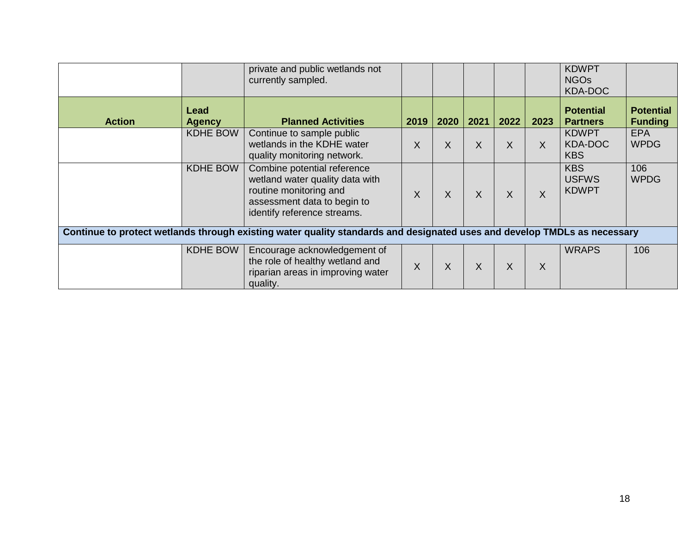|                                                                                                                          |                       | private and public wetlands not<br>currently sampled.                                                                                                  |      |      |              |      |      | <b>KDWPT</b><br><b>NGOs</b><br>KDA-DOC       |                                    |
|--------------------------------------------------------------------------------------------------------------------------|-----------------------|--------------------------------------------------------------------------------------------------------------------------------------------------------|------|------|--------------|------|------|----------------------------------------------|------------------------------------|
| <b>Action</b>                                                                                                            | Lead<br><b>Agency</b> | <b>Planned Activities</b>                                                                                                                              | 2019 | 2020 | 2021         | 2022 | 2023 | <b>Potential</b><br><b>Partners</b>          | <b>Potential</b><br><b>Funding</b> |
|                                                                                                                          | <b>KDHE BOW</b>       | Continue to sample public<br>wetlands in the KDHE water<br>quality monitoring network.                                                                 | X    | X    | X            | X    | X    | <b>KDWPT</b><br><b>KDA-DOC</b><br><b>KBS</b> | <b>EPA</b><br><b>WPDG</b>          |
|                                                                                                                          | <b>KDHE BOW</b>       | Combine potential reference<br>wetland water quality data with<br>routine monitoring and<br>assessment data to begin to<br>identify reference streams. | X    | X    | $\mathsf{X}$ | X    | X    | <b>KBS</b><br><b>USFWS</b><br><b>KDWPT</b>   | 106<br><b>WPDG</b>                 |
| Continue to protect wetlands through existing water quality standards and designated uses and develop TMDLs as necessary |                       |                                                                                                                                                        |      |      |              |      |      |                                              |                                    |
|                                                                                                                          | <b>KDHE BOW</b>       | Encourage acknowledgement of<br>the role of healthy wetland and<br>riparian areas in improving water<br>quality.                                       | X    | X    | X            | X    | X    | <b>WRAPS</b>                                 | 106                                |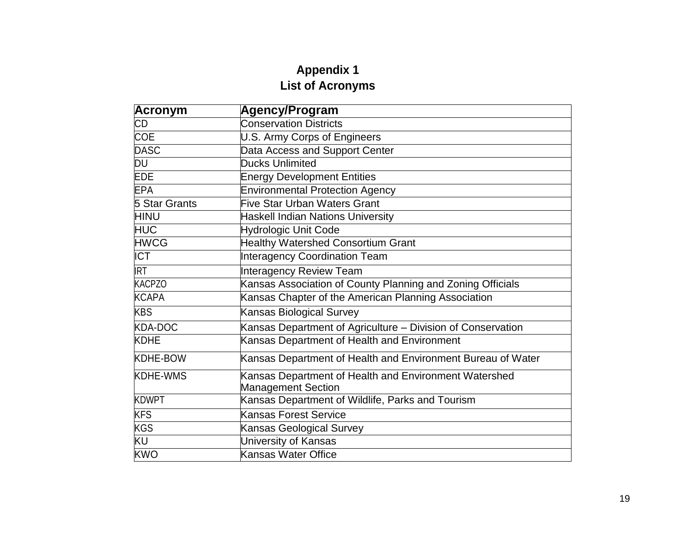# **Appendix 1 List of Acronyms**

| <b>Acronym</b>  | Agency/Program                                              |
|-----------------|-------------------------------------------------------------|
| CD              | <b>Conservation Districts</b>                               |
| <b>COE</b>      | U.S. Army Corps of Engineers                                |
| <b>DASC</b>     | Data Access and Support Center                              |
| DU              | Ducks Unlimited                                             |
| <b>EDE</b>      | <b>Energy Development Entities</b>                          |
| <b>EPA</b>      | <b>Environmental Protection Agency</b>                      |
| 5 Star Grants   | Five Star Urban Waters Grant                                |
| <b>HINU</b>     | Haskell Indian Nations University                           |
| HUC             | Hydrologic Unit Code                                        |
| <b>HWCG</b>     | Healthy Watershed Consortium Grant                          |
| <b>ICT</b>      | Interagency Coordination Team                               |
| <b>IRT</b>      | Interagency Review Team                                     |
| <b>KACPZO</b>   | Kansas Association of County Planning and Zoning Officials  |
| <b>KCAPA</b>    | Kansas Chapter of the American Planning Association         |
| <b>KBS</b>      | Kansas Biological Survey                                    |
| KDA-DOC         | Kansas Department of Agriculture - Division of Conservation |
| <b>KDHE</b>     | Kansas Department of Health and Environment                 |
| KDHE-BOW        | Kansas Department of Health and Environment Bureau of Water |
| <b>KDHE-WMS</b> | Kansas Department of Health and Environment Watershed       |
|                 | <b>Management Section</b>                                   |
| <b>KDWPT</b>    | Kansas Department of Wildlife, Parks and Tourism            |
| <b>KFS</b>      | Kansas Forest Service                                       |
| <b>KGS</b>      | Kansas Geological Survey                                    |
| KU              | <b>University of Kansas</b>                                 |
| <b>KWO</b>      | Kansas Water Office                                         |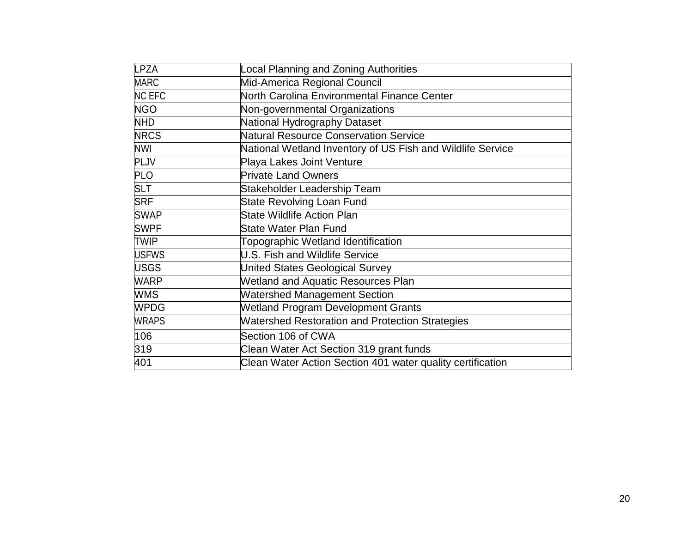| <b>LPZA</b>   | Local Planning and Zoning Authorities                      |
|---------------|------------------------------------------------------------|
| <b>MARC</b>   | Mid-America Regional Council                               |
| <b>NC EFC</b> | North Carolina Environmental Finance Center                |
| <b>NGO</b>    | Non-governmental Organizations                             |
| <b>NHD</b>    | National Hydrography Dataset                               |
| <b>NRCS</b>   | Natural Resource Conservation Service                      |
| <b>NWI</b>    | National Wetland Inventory of US Fish and Wildlife Service |
| PLJV          | Playa Lakes Joint Venture                                  |
| <b>PLO</b>    | <b>Private Land Owners</b>                                 |
| <b>SLT</b>    | Stakeholder Leadership Team                                |
| <b>SRF</b>    | <b>State Revolving Loan Fund</b>                           |
| <b>SWAP</b>   | <b>State Wildlife Action Plan</b>                          |
| <b>SWPF</b>   | <b>State Water Plan Fund</b>                               |
| TWIP          | Topographic Wetland Identification                         |
| <b>USFWS</b>  | <b>U.S. Fish and Wildlife Service</b>                      |
| <b>USGS</b>   | United States Geological Survey                            |
| <b>WARP</b>   | <b>Wetland and Aquatic Resources Plan</b>                  |
| <b>WMS</b>    | <b>Watershed Management Section</b>                        |
| <b>WPDG</b>   | <b>Wetland Program Development Grants</b>                  |
| <b>WRAPS</b>  | <b>Watershed Restoration and Protection Strategies</b>     |
| 106           | Section 106 of CWA                                         |
| 319           | Clean Water Act Section 319 grant funds                    |
| 401           | Clean Water Action Section 401 water quality certification |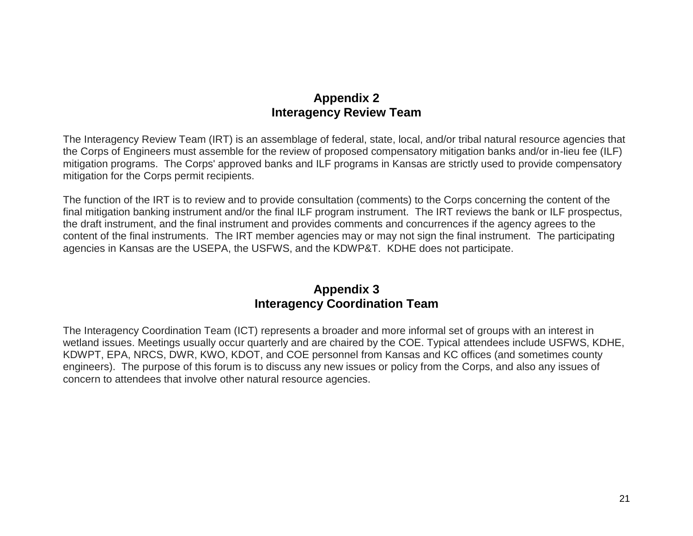## **Appendix 2 Interagency Review Team**

The Interagency Review Team (IRT) is an assemblage of federal, state, local, and/or tribal natural resource agencies that the Corps of Engineers must assemble for the review of proposed compensatory mitigation banks and/or in-lieu fee (ILF) mitigation programs. The Corps' approved banks and ILF programs in Kansas are strictly used to provide compensatory mitigation for the Corps permit recipients.

The function of the IRT is to review and to provide consultation (comments) to the Corps concerning the content of the final mitigation banking instrument and/or the final ILF program instrument. The IRT reviews the bank or ILF prospectus, the draft instrument, and the final instrument and provides comments and concurrences if the agency agrees to the content of the final instruments. The IRT member agencies may or may not sign the final instrument. The participating agencies in Kansas are the USEPA, the USFWS, and the KDWP&T. KDHE does not participate.

### **Appendix 3 Interagency Coordination Team**

The Interagency Coordination Team (ICT) represents a broader and more informal set of groups with an interest in wetland issues. Meetings usually occur quarterly and are chaired by the COE. Typical attendees include USFWS, KDHE, KDWPT, EPA, NRCS, DWR, KWO, KDOT, and COE personnel from Kansas and KC offices (and sometimes county engineers). The purpose of this forum is to discuss any new issues or policy from the Corps, and also any issues of concern to attendees that involve other natural resource agencies.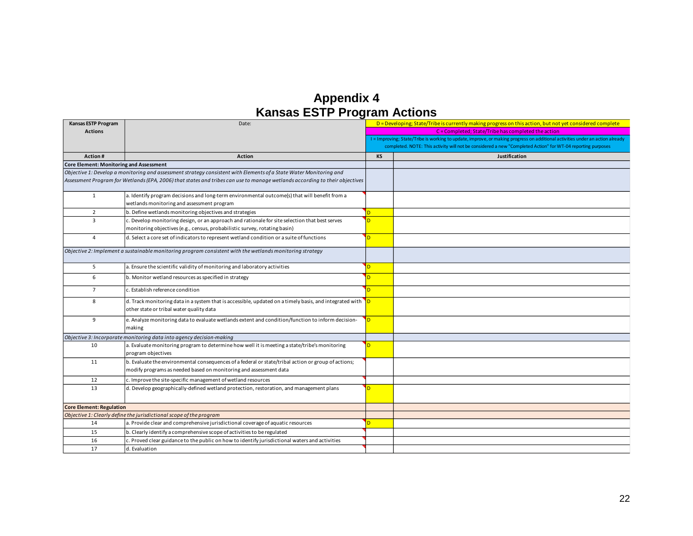### **Appendix 4 Kansas ESTP Program Actions**

| Kansas ESTP Program<br><b>Actions</b>          | Date:                                                                                                                                                                    | D = Developing; State/Tribe is currently making progress on this action, but not yet considered complete<br>C = Completed; State/Tribe has completed the action |                                                                                                                             |  |  |  |
|------------------------------------------------|--------------------------------------------------------------------------------------------------------------------------------------------------------------------------|-----------------------------------------------------------------------------------------------------------------------------------------------------------------|-----------------------------------------------------------------------------------------------------------------------------|--|--|--|
|                                                |                                                                                                                                                                          |                                                                                                                                                                 | = Improving; State/Tribe is working to update, improve, or making progress on additional activities under an action already |  |  |  |
|                                                |                                                                                                                                                                          | completed. NOTE: This activity will not be considered a new "Completed Action" for WT-04 reporting purposes                                                     |                                                                                                                             |  |  |  |
| <b>Action#</b>                                 | <b>Action</b>                                                                                                                                                            | <b>KS</b>                                                                                                                                                       | Justification                                                                                                               |  |  |  |
| <b>Core Element: Monitoring and Assessment</b> |                                                                                                                                                                          |                                                                                                                                                                 |                                                                                                                             |  |  |  |
|                                                | Objective 1: Develop a monitoring and assessment strategy consistent with Elements of a State Water Monitoring and                                                       |                                                                                                                                                                 |                                                                                                                             |  |  |  |
|                                                | Assessment Program for Wetlands (EPA, 2006) that states and tribes can use to manage wetlands according to their objectives                                              |                                                                                                                                                                 |                                                                                                                             |  |  |  |
| $\mathbf{1}$                                   | a. Identify program decisions and long-term environmental outcome(s) that will benefit from a<br>wetlands monitoring and assessment program                              |                                                                                                                                                                 |                                                                                                                             |  |  |  |
| $\overline{2}$                                 | b. Define wetlands monitoring objectives and strategies                                                                                                                  | D.                                                                                                                                                              |                                                                                                                             |  |  |  |
| $\overline{3}$                                 | c. Develop monitoring design, or an approach and rationale for site selection that best serves                                                                           | n                                                                                                                                                               |                                                                                                                             |  |  |  |
|                                                | monitoring objectives (e.g., census, probabilistic survey, rotating basin)                                                                                               |                                                                                                                                                                 |                                                                                                                             |  |  |  |
| 4                                              | d. Select a core set of indicators to represent wetland condition or a suite of functions                                                                                | n                                                                                                                                                               |                                                                                                                             |  |  |  |
|                                                | Objective 2: Implement a sustainable monitoring program consistent with the wetlands monitoring strategy                                                                 |                                                                                                                                                                 |                                                                                                                             |  |  |  |
| 5                                              | a. Ensure the scientific validity of monitoring and laboratory activities                                                                                                | n.                                                                                                                                                              |                                                                                                                             |  |  |  |
| 6                                              | b. Monitor wetland resources as specified in strategy                                                                                                                    | n.                                                                                                                                                              |                                                                                                                             |  |  |  |
| $\overline{7}$                                 | c. Establish reference condition                                                                                                                                         | D.                                                                                                                                                              |                                                                                                                             |  |  |  |
| 8                                              | d. Track monitoring data in a system that is accessible, updated on a timely basis, and integrated with $\Box$<br>other state or tribal water quality data               |                                                                                                                                                                 |                                                                                                                             |  |  |  |
| 9                                              | e. Analyze monitoring data to evaluate wetlands extent and condition/function to inform decision-<br>making                                                              | <b>ID</b>                                                                                                                                                       |                                                                                                                             |  |  |  |
|                                                | Objective 3: Incorporate monitoring data into agency decision-making                                                                                                     |                                                                                                                                                                 |                                                                                                                             |  |  |  |
| 10                                             | a. Evaluate monitoring program to determine how well it is meeting a state/tribe's monitoring<br>program objectives                                                      | n.                                                                                                                                                              |                                                                                                                             |  |  |  |
| 11                                             | b. Evaluate the environmental consequences of a federal or state/tribal action or group of actions;<br>modify programs as needed based on monitoring and assessment data |                                                                                                                                                                 |                                                                                                                             |  |  |  |
| 12                                             | c. Improve the site-specific management of wetland resources                                                                                                             |                                                                                                                                                                 |                                                                                                                             |  |  |  |
| 13                                             | d. Develop geographically-defined wetland protection, restoration, and management plans                                                                                  | n.                                                                                                                                                              |                                                                                                                             |  |  |  |
| <b>Core Element: Regulation</b>                |                                                                                                                                                                          |                                                                                                                                                                 |                                                                                                                             |  |  |  |
|                                                | Objective 1: Clearly define the jurisdictional scope of the program                                                                                                      |                                                                                                                                                                 |                                                                                                                             |  |  |  |
| 14                                             | a. Provide clear and comprehensive jurisdictional coverage of aquatic resources                                                                                          | n                                                                                                                                                               |                                                                                                                             |  |  |  |
| 15                                             | b. Clearly identify a comprehensive scope of activities to be regulated                                                                                                  |                                                                                                                                                                 |                                                                                                                             |  |  |  |
| 16                                             | c. Proved clear guidance to the public on how to identify jurisdictional waters and activities                                                                           |                                                                                                                                                                 |                                                                                                                             |  |  |  |
| 17                                             | d. Evaluation                                                                                                                                                            |                                                                                                                                                                 |                                                                                                                             |  |  |  |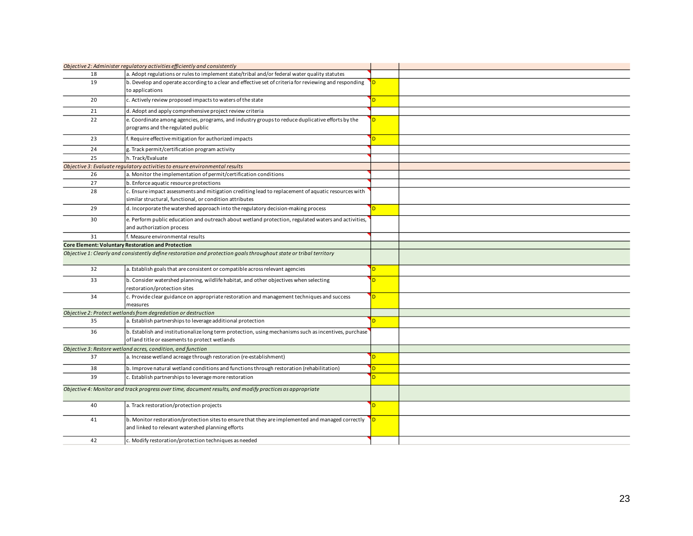|    | Objective 2: Administer regulatory activities efficiently and consistently                                         |    |  |
|----|--------------------------------------------------------------------------------------------------------------------|----|--|
| 18 | a. Adopt regulations or rules to implement state/tribal and/or federal water quality statutes                      |    |  |
| 19 | b. Develop and operate according to a clear and effective set of criteria for reviewing and responding             | D  |  |
|    | to applications                                                                                                    |    |  |
| 20 | c. Actively review proposed impacts to waters of the state                                                         | D. |  |
| 21 | d. Adopt and apply comprehensive project review criteria                                                           |    |  |
| 22 | e. Coordinate among agencies, programs, and industry groups to reduce duplicative efforts by the                   | D. |  |
|    | programs and the regulated public                                                                                  |    |  |
| 23 | f. Require effective mitigation for authorized impacts                                                             | h  |  |
| 24 | g. Track permit/certification program activity                                                                     |    |  |
| 25 | h. Track/Evaluate                                                                                                  |    |  |
|    | Objective 3: Evaluate regulatory activities to ensure environmental results                                        |    |  |
| 26 | a. Monitor the implementation of permit/certification conditions                                                   |    |  |
| 27 | b. Enforce aquatic resource protections                                                                            |    |  |
| 28 | c. Ensure impact assessments and mitigation crediting lead to replacement of aquatic resources with                |    |  |
|    | similar structural, functional, or condition attributes                                                            |    |  |
| 29 | d. Incorporate the watershed approach into the regulatory decision-making process                                  | D. |  |
| 30 | e. Perform public education and outreach about wetland protection, regulated waters and activities,                |    |  |
|    | and authorization process                                                                                          |    |  |
| 31 | f. Measure environmental results                                                                                   |    |  |
|    | Core Element: Voluntary Restoration and Protection                                                                 |    |  |
|    | Objective 1: Clearly and consistently define restoration and protection goals throughout state or tribal territory |    |  |
| 32 | a. Establish goals that are consistent or compatible across relevant agencies                                      | D. |  |
| 33 | b. Consider watershed planning, wildlife habitat, and other objectives when selecting                              | D. |  |
|    | restoration/protection sites                                                                                       |    |  |
| 34 | c. Provide clear guidance on appropriate restoration and management techniques and success                         | D. |  |
|    | measures                                                                                                           |    |  |
|    | Objective 2: Protect wetlands from degredation or destruction                                                      |    |  |
| 35 | a. Establish partnerships to leverage additional protection                                                        | D. |  |
| 36 | b. Establish and institutionalize long term protection, using mechanisms such as incentives, purchase              |    |  |
|    | of land title or easements to protect wetlands                                                                     |    |  |
|    | Objective 3: Restore wetland acres, condition, and function                                                        |    |  |
| 37 | a. Increase wetland acreage through restoration (re-establishment)                                                 | D  |  |
| 38 | b. Improve natural wetland conditions and functions through restoration (rehabilitation)                           | D. |  |
| 39 | c. Establish partnerships to leverage more restoration                                                             |    |  |
|    | Objective 4: Monitor and track progress over time, document results, and modify practices as appropriate           |    |  |
| 40 | a. Track restoration/protection projects                                                                           | n. |  |
| 41 | b. Monitor restoration/protection sites to ensure that they are implemented and managed correctly                  |    |  |
|    | and linked to relevant watershed planning efforts                                                                  |    |  |
| 42 | c. Modify restoration/protection techniques as needed                                                              |    |  |
|    |                                                                                                                    |    |  |